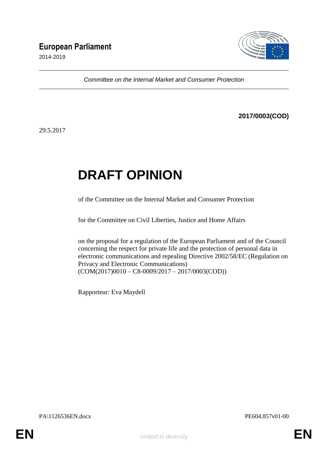2014-2019



*Committee on the Internal Market and Consumer Protection*

# **2017/0003(COD)**

29.5.2017

# **DRAFT OPINION**

of the Committee on the Internal Market and Consumer Protection

for the Committee on Civil Liberties, Justice and Home Affairs

on the proposal for a regulation of the European Parliament and of the Council concerning the respect for private life and the protection of personal data in electronic communications and repealing Directive 2002/58/EC (Regulation on Privacy and Electronic Communications)  $(COM(2017)0010 - C8-0009/2017 - 2017/0003(COD))$ 

Rapporteur: Eva Maydell

PA\1126536EN.docx PE604.857v01-00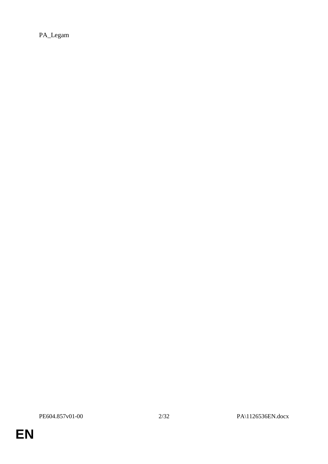PA\_Legam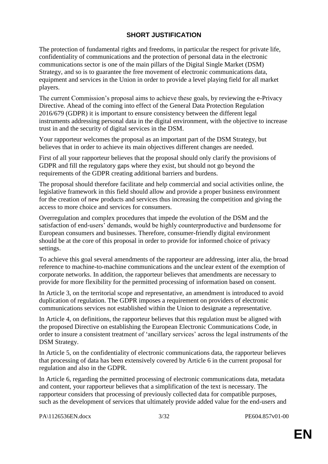# **SHORT JUSTIFICATION**

The protection of fundamental rights and freedoms, in particular the respect for private life, confidentiality of communications and the protection of personal data in the electronic communications sector is one of the main pillars of the Digital Single Market (DSM) Strategy, and so is to guarantee the free movement of electronic communications data, equipment and services in the Union in order to provide a level playing field for all market players.

The current Commission's proposal aims to achieve these goals, by reviewing the e-Privacy Directive. Ahead of the coming into effect of the General Data Protection Regulation 2016/679 (GDPR) it is important to ensure consistency between the different legal instruments addressing personal data in the digital environment, with the objective to increase trust in and the security of digital services in the DSM.

Your rapporteur welcomes the proposal as an important part of the DSM Strategy, but believes that in order to achieve its main objectives different changes are needed.

First of all your rapporteur believes that the proposal should only clarify the provisions of GDPR and fill the regulatory gaps where they exist, but should not go beyond the requirements of the GDPR creating additional barriers and burdens.

The proposal should therefore facilitate and help commercial and social activities online, the legislative framework in this field should allow and provide a proper business environment for the creation of new products and services thus increasing the competition and giving the access to more choice and services for consumers.

Overregulation and complex procedures that impede the evolution of the DSM and the satisfaction of end-users' demands, would be highly counterproductive and burdensome for European consumers and businesses. Therefore, consumer-friendly digital environment should be at the core of this proposal in order to provide for informed choice of privacy settings.

To achieve this goal several amendments of the rapporteur are addressing, inter alia, the broad reference to machine-to-machine communications and the unclear extent of the exemption of corporate networks. In addition, the rapporteur believes that amendments are necessary to provide for more flexibility for the permitted processing of information based on consent.

In Article 3, on the territorial scope and representative, an amendment is introduced to avoid duplication of regulation. The GDPR imposes a requirement on providers of electronic communications services not established within the Union to designate a representative.

In Article 4, on definitions, the rapporteur believes that this regulation must be aligned with the proposed Directive on establishing the European Electronic Communications Code, in order to insure a consistent treatment of 'ancillary services' across the legal instruments of the DSM Strategy.

In Article 5, on the confidentiality of electronic communications data, the rapporteur believes that processing of data has been extensively covered by Article 6 in the current proposal for regulation and also in the GDPR.

In Article 6, regarding the permitted processing of electronic communications data, metadata and content, your rapporteur believes that a simplification of the text is necessary. The rapporteur considers that processing of previously collected data for compatible purposes, such as the development of services that ultimately provide added value for the end-users and

PA\1126536EN.docx 3/32 PE604.857v01-00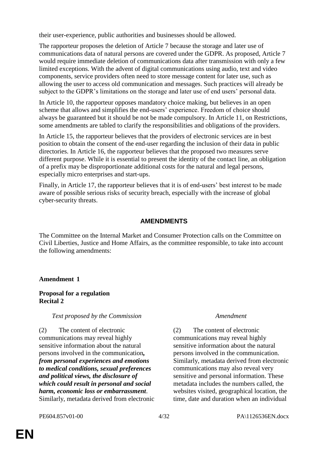their user-experience, public authorities and businesses should be allowed.

The rapporteur proposes the deletion of Article 7 because the storage and later use of communications data of natural persons are covered under the GDPR. As proposed, Article 7 would require immediate deletion of communications data after transmission with only a few limited exceptions. With the advent of digital communications using audio, text and video components, service providers often need to store message content for later use, such as allowing the user to access old communication and messages. Such practices will already be subject to the GDPR's limitations on the storage and later use of end users' personal data.

In Article 10, the rapporteur opposes mandatory choice making, but believes in an open scheme that allows and simplifies the end-users' experience. Freedom of choice should always be guaranteed but it should be not be made compulsory. In Article 11, on Restrictions, some amendments are tabled to clarify the responsibilities and obligations of the providers.

In Article 15, the rapporteur believes that the providers of electronic services are in best position to obtain the consent of the end-user regarding the inclusion of their data in public directories. In Article 16, the rapporteur believes that the proposed two measures serve different purpose. While it is essential to present the identity of the contact line, an obligation of a prefix may be disproportionate additional costs for the natural and legal persons, especially micro enterprises and start-ups.

Finally, in Article 17, the rapporteur believes that it is of end-users' best interest to be made aware of possible serious risks of security breach, especially with the increase of global cyber-security threats.

# **AMENDMENTS**

The Committee on the Internal Market and Consumer Protection calls on the Committee on Civil Liberties, Justice and Home Affairs, as the committee responsible, to take into account the following amendments:

# **Amendment 1**

# **Proposal for a regulation Recital 2**

# *Text proposed by the Commission Amendment*

(2) The content of electronic communications may reveal highly sensitive information about the natural persons involved in the communication*, from personal experiences and emotions to medical conditions, sexual preferences and political views, the disclosure of which could result in personal and social harm, economic loss or embarrassment*. Similarly, metadata derived from electronic

(2) The content of electronic communications may reveal highly sensitive information about the natural persons involved in the communication. Similarly, metadata derived from electronic communications may also reveal very sensitive and personal information. These metadata includes the numbers called, the websites visited, geographical location, the time, date and duration when an individual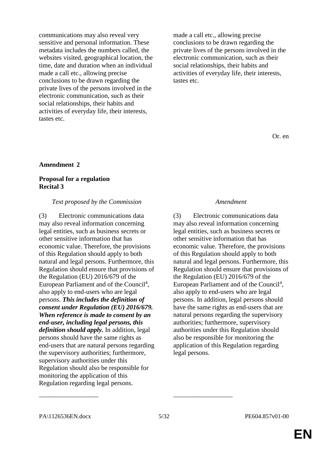communications may also reveal very sensitive and personal information. These metadata includes the numbers called, the websites visited, geographical location, the time, date and duration when an individual made a call etc., allowing precise conclusions to be drawn regarding the private lives of the persons involved in the electronic communication, such as their social relationships, their habits and activities of everyday life, their interests, tastes etc.

made a call etc., allowing precise conclusions to be drawn regarding the private lives of the persons involved in the electronic communication, such as their social relationships, their habits and activities of everyday life, their interests, tastes etc.

Or. en

### **Amendment 2**

# **Proposal for a regulation Recital 3**

### *Text proposed by the Commission Amendment*

(3) Electronic communications data may also reveal information concerning legal entities, such as business secrets or other sensitive information that has economic value. Therefore, the provisions of this Regulation should apply to both natural and legal persons. Furthermore, this Regulation should ensure that provisions of the Regulation (EU) 2016/679 of the European Parliament and of the Council<sup>4</sup>, also apply to end-users who are legal persons. *This includes the definition of consent under Regulation (EU) 2016/679. When reference is made to consent by an end-user, including legal persons, this definition should apply.* In addition, legal persons should have the same rights as end-users that are natural persons regarding the supervisory authorities; furthermore, supervisory authorities under this Regulation should also be responsible for monitoring the application of this Regulation regarding legal persons.

(3) Electronic communications data may also reveal information concerning legal entities, such as business secrets or other sensitive information that has economic value. Therefore, the provisions of this Regulation should apply to both natural and legal persons. Furthermore, this Regulation should ensure that provisions of the Regulation (EU) 2016/679 of the European Parliament and of the Council<sup>4</sup>, also apply to end-users who are legal persons. In addition, legal persons should have the same rights as end-users that are natural persons regarding the supervisory authorities; furthermore, supervisory authorities under this Regulation should also be responsible for monitoring the application of this Regulation regarding legal persons.

\_\_\_\_\_\_\_\_\_\_\_\_\_\_\_\_\_\_ \_\_\_\_\_\_\_\_\_\_\_\_\_\_\_\_\_\_

PA\1126536EN.docx 5/32 PE604.857v01-00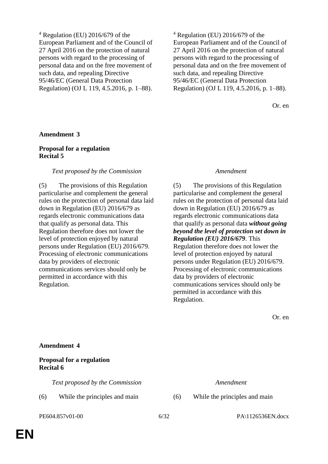$4$  Regulation (EU) 2016/679 of the European Parliament and of the Council of 27 April 2016 on the protection of natural persons with regard to the processing of personal data and on the free movement of such data, and repealing Directive 95/46/EC (General Data Protection Regulation) (OJ L 119, 4.5.2016, p. 1–88).

 $4$  Regulation (EU) 2016/679 of the European Parliament and of the Council of 27 April 2016 on the protection of natural persons with regard to the processing of personal data and on the free movement of such data, and repealing Directive 95/46/EC (General Data Protection Regulation) (OJ L 119, 4.5.2016, p. 1–88).

Or. en

### **Amendment 3**

### **Proposal for a regulation Recital 5**

### *Text proposed by the Commission Amendment*

(5) The provisions of this Regulation particularise and complement the general rules on the protection of personal data laid down in Regulation (EU) 2016/679 as regards electronic communications data that qualify as personal data. This Regulation therefore does not lower the level of protection enjoyed by natural persons under Regulation (EU) 2016/679. Processing of electronic communications data by providers of electronic communications services should only be permitted in accordance with this Regulation.

(5) The provisions of this Regulation particularise and complement the general rules on the protection of personal data laid down in Regulation (EU) 2016/679 as regards electronic communications data that qualify as personal data *without going beyond the level of protection set down in Regulation (EU) 2016/679*. This Regulation therefore does not lower the level of protection enjoyed by natural persons under Regulation (EU) 2016/679. Processing of electronic communications data by providers of electronic communications services should only be permitted in accordance with this Regulation.

Or. en

### **Amendment 4**

### **Proposal for a regulation Recital 6**

*Text proposed by the Commission Amendment*

(6) While the principles and main (6) While the principles and main

PE604.857v01-00 6/32 PA\1126536EN.docx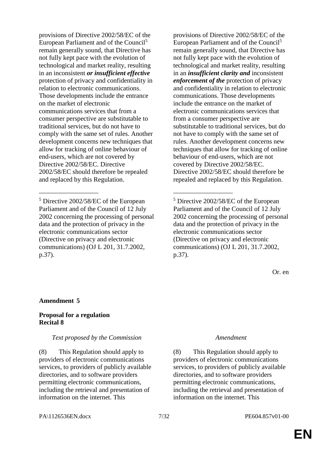provisions of Directive 2002/58/EC of the European Parliament and of the Council<sup>5</sup> remain generally sound, that Directive has not fully kept pace with the evolution of technological and market reality, resulting in an inconsistent *or insufficient effective* protection of privacy and confidentiality in relation to electronic communications. Those developments include the entrance on the market of electronic communications services that from a consumer perspective are substitutable to traditional services, but do not have to comply with the same set of rules. Another development concerns new techniques that allow for tracking of online behaviour of end-users, which are not covered by Directive 2002/58/EC. Directive 2002/58/EC should therefore be repealed and replaced by this Regulation.

\_\_\_\_\_\_\_\_\_\_\_\_\_\_\_\_\_\_ \_\_\_\_\_\_\_\_\_\_\_\_\_\_\_\_\_\_

provisions of Directive 2002/58/EC of the European Parliament and of the Council<sup>5</sup> remain generally sound, that Directive has not fully kept pace with the evolution of technological and market reality, resulting in an *insufficient clarity and* inconsistent *enforcement of the* protection of privacy and confidentiality in relation to electronic communications. Those developments include the entrance on the market of electronic communications services that from a consumer perspective are substitutable to traditional services, but do not have to comply with the same set of rules. Another development concerns new techniques that allow for tracking of online behaviour of end-users, which are not covered by Directive 2002/58/EC. Directive 2002/58/EC should therefore be repealed and replaced by this Regulation.

<sup>5</sup> Directive 2002/58/EC of the European Parliament and of the Council of 12 July 2002 concerning the processing of personal data and the protection of privacy in the electronic communications sector (Directive on privacy and electronic communications) (OJ L 201, 31.7.2002, p.37).

Or. en

# **Amendment 5**

# **Proposal for a regulation Recital 8**

### *Text proposed by the Commission Amendment*

(8) This Regulation should apply to providers of electronic communications services, to providers of publicly available directories, and to software providers permitting electronic communications, including the retrieval and presentation of information on the internet. This

(8) This Regulation should apply to providers of electronic communications services, to providers of publicly available directories, and to software providers permitting electronic communications, including the retrieval and presentation of information on the internet. This

### PA\1126536EN.docx 7/32 PE604.857v01-00

<sup>5</sup> Directive 2002/58/EC of the European Parliament and of the Council of 12 July 2002 concerning the processing of personal data and the protection of privacy in the electronic communications sector (Directive on privacy and electronic communications) (OJ L 201, 31.7.2002, p.37).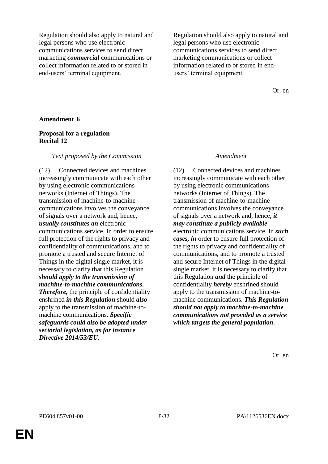Regulation should also apply to natural and legal persons who use electronic communications services to send direct marketing *commercial* communications or collect information related to or stored in end-users' terminal equipment.

Regulation should also apply to natural and legal persons who use electronic communications services to send direct marketing communications or collect information related to or stored in endusers' terminal equipment.

Or. en

### **Amendment 6**

# **Proposal for a regulation Recital 12**

### *Text proposed by the Commission Amendment*

(12) Connected devices and machines increasingly communicate with each other by using electronic communications networks (Internet of Things). The transmission of machine-to-machine communications involves the conveyance of signals over a network and, hence, *usually constitutes an* electronic communications service. In order to ensure full protection of the rights to privacy and confidentiality of communications, and to promote a trusted and secure Internet of Things in the digital single market, it is necessary to clarify that this Regulation *should apply to the transmission of machine-to-machine communications. Therefore,* the principle of confidentiality enshrined *in this Regulation* should *also* apply to the transmission of machine-tomachine communications. *Specific safeguards could also be adopted under sectorial legislation, as for instance Directive 2014/53/EU*.

(12) Connected devices and machines increasingly communicate with each other by using electronic communications networks (Internet of Things). The transmission of machine-to-machine communications involves the conveyance of signals over a network and, hence, *it may constitute a publicly available* electronic communications service. In *such cases, in* order to ensure full protection of the rights to privacy and confidentiality of communications, and to promote a trusted and secure Internet of Things in the digital single market, it is necessary to clarify that this Regulation *and* the principle of confidentiality *hereby* enshrined should apply to the transmission of machine-tomachine communications. *This Regulation should not apply to machine-to-machine communications not provided as a service which targets the general population*.

Or. en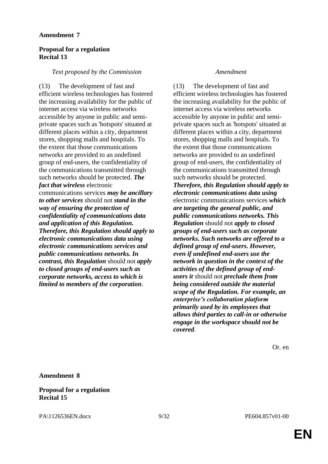# **Proposal for a regulation Recital 13**

# *Text proposed by the Commission Amendment*

(13) The development of fast and efficient wireless technologies has fostered the increasing availability for the public of internet access via wireless networks accessible by anyone in public and semiprivate spaces such as 'hotspots' situated at different places within a city, department stores, shopping malls and hospitals. To the extent that those communications networks are provided to an undefined group of end-users, the confidentiality of the communications transmitted through such networks should be protected. *The fact that wireless* electronic communications services *may be ancillary to other services* should not *stand in the way of ensuring the protection of confidentiality of communications data and application of this Regulation. Therefore, this Regulation should apply to electronic communications data using electronic communications services and public communications networks. In contrast, this Regulation* should not *apply to closed groups of end-users such as corporate networks, access to which is limited to members of the corporation*.

(13) The development of fast and efficient wireless technologies has fostered the increasing availability for the public of internet access via wireless networks accessible by anyone in public and semiprivate spaces such as 'hotspots' situated at different places within a city, department stores, shopping malls and hospitals. To the extent that those communications networks are provided to an undefined group of end-users, the confidentiality of the communications transmitted through such networks should be protected. *Therefore, this Regulation should apply to electronic communications data using* electronic communications services *which are targeting the general public, and public communications networks. This Regulation* should not *apply to closed groups of end-users such as corporate networks. Such networks are offered to a defined group of end-users. However, even if undefined end-users use the network in question in the context of the activities of the defined group of endusers it* should not *preclude them from being considered outside the material scope of the Regulation. For example, an enterprise's collaboration platform primarily used by its employees that allows third parties to call-in or otherwise engage in the workspace should not be covered*.

Or. en

**Amendment 8**

# **Proposal for a regulation Recital 15**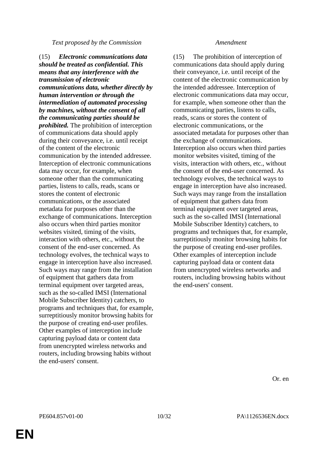### *Text proposed by the Commission Amendment*

(15) *Electronic communications data should be treated as confidential. This means that any interference with the transmission of electronic communications data, whether directly by human intervention or through the intermediation of automated processing by machines, without the consent of all the communicating parties should be prohibited.* The prohibition of interception of communications data should apply during their conveyance, i.e. until receipt of the content of the electronic communication by the intended addressee. Interception of electronic communications data may occur, for example, when someone other than the communicating parties, listens to calls, reads, scans or stores the content of electronic communications, or the associated metadata for purposes other than the exchange of communications. Interception also occurs when third parties monitor websites visited, timing of the visits, interaction with others, etc., without the consent of the end-user concerned. As technology evolves, the technical ways to engage in interception have also increased. Such ways may range from the installation of equipment that gathers data from terminal equipment over targeted areas, such as the so-called IMSI (International Mobile Subscriber Identity) catchers, to programs and techniques that, for example, surreptitiously monitor browsing habits for the purpose of creating end-user profiles. Other examples of interception include capturing payload data or content data from unencrypted wireless networks and routers, including browsing habits without the end-users' consent.

(15) The prohibition of interception of communications data should apply during their conveyance, i.e. until receipt of the content of the electronic communication by the intended addressee. Interception of electronic communications data may occur, for example, when someone other than the communicating parties, listens to calls, reads, scans or stores the content of electronic communications, or the associated metadata for purposes other than the exchange of communications. Interception also occurs when third parties monitor websites visited, timing of the visits, interaction with others, etc., without the consent of the end-user concerned. As technology evolves, the technical ways to engage in interception have also increased. Such ways may range from the installation of equipment that gathers data from terminal equipment over targeted areas, such as the so-called IMSI (International Mobile Subscriber Identity) catchers, to programs and techniques that, for example, surreptitiously monitor browsing habits for the purpose of creating end-user profiles. Other examples of interception include capturing payload data or content data from unencrypted wireless networks and routers, including browsing habits without the end-users' consent.

Or. en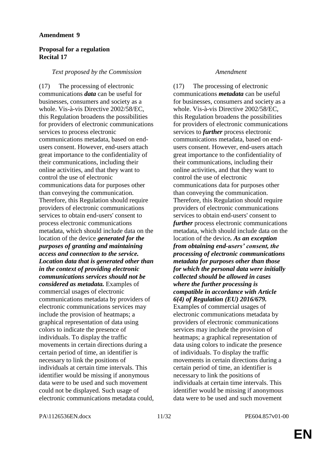# **Proposal for a regulation Recital 17**

### *Text proposed by the Commission Amendment*

(17) The processing of electronic communications *data* can be useful for businesses, consumers and society as a whole. Vis-à-vis Directive 2002/58/EC, this Regulation broadens the possibilities for providers of electronic communications services to process electronic communications metadata, based on endusers consent. However, end-users attach great importance to the confidentiality of their communications, including their online activities, and that they want to control the use of electronic communications data for purposes other than conveying the communication. Therefore, this Regulation should require providers of electronic communications services to obtain end-users' consent to process electronic communications metadata, which should include data on the location of the device *generated for the purposes of granting and maintaining access and connection to the service. Location data that is generated other than in the context of providing electronic communications services should not be considered as metadata.* Examples of commercial usages of electronic communications metadata by providers of electronic communications services may include the provision of heatmaps; a graphical representation of data using colors to indicate the presence of individuals. To display the traffic movements in certain directions during a certain period of time, an identifier is necessary to link the positions of individuals at certain time intervals. This identifier would be missing if anonymous data were to be used and such movement could not be displayed. Such usage of electronic communications metadata could,

(17) The processing of electronic communications *metadata* can be useful for businesses, consumers and society as a whole. Vis-à-vis Directive 2002/58/EC, this Regulation broadens the possibilities for providers of electronic communications services to *further* process electronic communications metadata, based on endusers consent. However, end-users attach great importance to the confidentiality of their communications, including their online activities, and that they want to control the use of electronic communications data for purposes other than conveying the communication. Therefore, this Regulation should require providers of electronic communications services to obtain end-users' consent to *further* process electronic communications metadata, which should include data on the location of the device*. As an exception from obtaining end-users' consent, the processing of electronic communications metadata for purposes other than those for which the personal data were initially collected should be allowed in cases where the further processing is compatible in accordance with Article 6(4) of Regulation (EU) 2016/679.* Examples of commercial usages of electronic communications metadata by providers of electronic communications services may include the provision of heatmaps; a graphical representation of data using colors to indicate the presence of individuals. To display the traffic movements in certain directions during a certain period of time, an identifier is necessary to link the positions of individuals at certain time intervals. This identifier would be missing if anonymous data were to be used and such movement

PA\1126536EN.docx 11/32 PE604.857v01-00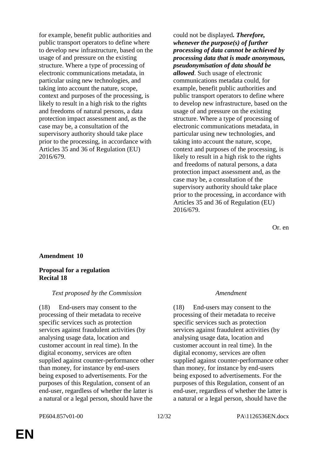for example, benefit public authorities and public transport operators to define where to develop new infrastructure, based on the usage of and pressure on the existing structure. Where a type of processing of electronic communications metadata, in particular using new technologies, and taking into account the nature, scope, context and purposes of the processing, is likely to result in a high risk to the rights and freedoms of natural persons, a data protection impact assessment and, as the case may be, a consultation of the supervisory authority should take place prior to the processing, in accordance with Articles 35 and 36 of Regulation (EU) 2016/679.

could not be displayed*. Therefore, whenever the purpose(s) of further processing of data cannot be achieved by processing data that is made anonymous, pseudonymisation of data should be allowed*. Such usage of electronic communications metadata could, for example, benefit public authorities and public transport operators to define where to develop new infrastructure, based on the usage of and pressure on the existing structure. Where a type of processing of electronic communications metadata, in particular using new technologies, and taking into account the nature, scope, context and purposes of the processing, is likely to result in a high risk to the rights and freedoms of natural persons, a data protection impact assessment and, as the case may be, a consultation of the supervisory authority should take place prior to the processing, in accordance with Articles 35 and 36 of Regulation (EU) 2016/679.

Or. en

### **Amendment 10**

# **Proposal for a regulation Recital 18**

### *Text proposed by the Commission Amendment*

(18) End-users may consent to the processing of their metadata to receive specific services such as protection services against fraudulent activities (by analysing usage data, location and customer account in real time). In the digital economy, services are often supplied against counter-performance other than money, for instance by end-users being exposed to advertisements. For the purposes of this Regulation, consent of an end-user, regardless of whether the latter is a natural or a legal person, should have the

(18) End-users may consent to the processing of their metadata to receive specific services such as protection services against fraudulent activities (by analysing usage data, location and customer account in real time). In the digital economy, services are often supplied against counter-performance other than money, for instance by end-users being exposed to advertisements. For the purposes of this Regulation, consent of an end-user, regardless of whether the latter is a natural or a legal person, should have the

# PE604.857v01-00 12/32 PA\1126536EN.docx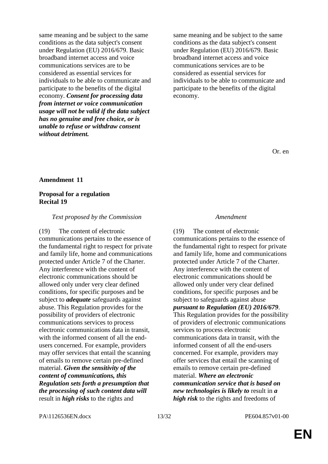same meaning and be subject to the same conditions as the data subject's consent under Regulation (EU) 2016/679. Basic broadband internet access and voice communications services are to be considered as essential services for individuals to be able to communicate and participate to the benefits of the digital economy. *Consent for processing data from internet or voice communication usage will not be valid if the data subject has no genuine and free choice, or is unable to refuse or withdraw consent without detriment.*

same meaning and be subject to the same conditions as the data subject's consent under Regulation (EU) 2016/679. Basic broadband internet access and voice communications services are to be considered as essential services for individuals to be able to communicate and participate to the benefits of the digital economy.

Or. en

### **Amendment 11**

# **Proposal for a regulation Recital 19**

### *Text proposed by the Commission Amendment*

(19) The content of electronic communications pertains to the essence of the fundamental right to respect for private and family life, home and communications protected under Article 7 of the Charter. Any interference with the content of electronic communications should be allowed only under very clear defined conditions, for specific purposes and be subject to *adequate* safeguards against abuse. This Regulation provides for the possibility of providers of electronic communications services to process electronic communications data in transit, with the informed consent of all the endusers concerned. For example, providers may offer services that entail the scanning of emails to remove certain pre-defined material. *Given the sensitivity of the content of communications, this Regulation sets forth a presumption that the processing of such content data will* result in *high risks* to the rights and

(19) The content of electronic communications pertains to the essence of the fundamental right to respect for private and family life, home and communications protected under Article 7 of the Charter. Any interference with the content of electronic communications should be allowed only under very clear defined conditions, for specific purposes and be subject to safeguards against abuse *pursuant to Regulation (EU) 2016/679*. This Regulation provides for the possibility of providers of electronic communications services to process electronic communications data in transit, with the informed consent of all the end-users concerned. For example, providers may offer services that entail the scanning of emails to remove certain pre-defined material. *Where an electronic communication service that is based on new technologies is likely to* result in *a high risk* to the rights and freedoms of

PA\1126536EN.docx 13/32 PE604.857v01-00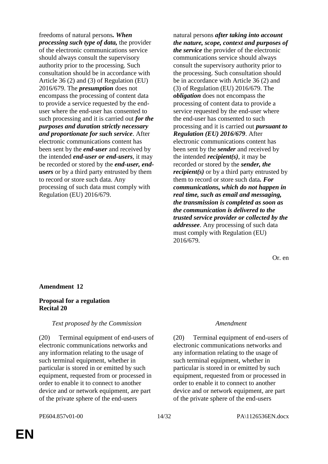freedoms of natural persons*. When processing such type of data,* the provider of the electronic communications service should always consult the supervisory authority prior to the processing. Such consultation should be in accordance with Article 36 (2) and (3) of Regulation (EU) 2016/679. The *presumption* does not encompass the processing of content data to provide a service requested by the enduser where the end-user has consented to such processing and it is carried out *for the purposes and duration strictly necessary and proportionate for such service*. After electronic communications content has been sent by the *end-user* and received by the intended *end-user or end-users*, it may be recorded or stored by the *end-user, endusers* or by a third party entrusted by them to record or store such data. Any processing of such data must comply with Regulation (EU) 2016/679.

natural persons *after taking into account the nature, scope, context and purposes of the service* the provider of the electronic communications service should always consult the supervisory authority prior to the processing. Such consultation should be in accordance with Article 36 (2) and (3) of Regulation (EU) 2016/679. The *obligation* does not encompass the processing of content data to provide a service requested by the end-user where the end-user has consented to such processing and it is carried out *pursuant to Regulation (EU) 2016/679*. After electronic communications content has been sent by the *sender* and received by the intended *recipient(s)*, it may be recorded or stored by the *sender, the recipient(s)* or by a third party entrusted by them to record or store such data*. For communications, which do not happen in real time, such as email and messaging, the transmission is completed as soon as the communication is delivered to the trusted service provider or collected by the addressee*. Any processing of such data must comply with Regulation (EU) 2016/679.

Or. en

# **Amendment 12**

### **Proposal for a regulation Recital 20**

### *Text proposed by the Commission Amendment*

(20) Terminal equipment of end-users of electronic communications networks and any information relating to the usage of such terminal equipment, whether in particular is stored in or emitted by such equipment, requested from or processed in order to enable it to connect to another device and or network equipment, are part of the private sphere of the end-users

(20) Terminal equipment of end-users of electronic communications networks and any information relating to the usage of such terminal equipment, whether in particular is stored in or emitted by such equipment, requested from or processed in order to enable it to connect to another device and or network equipment, are part of the private sphere of the end-users

# PE604.857v01-00 14/32 PA\1126536EN.docx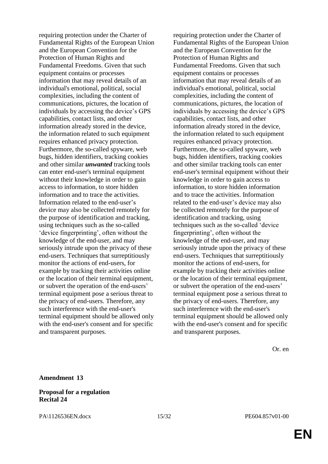requiring protection under the Charter of Fundamental Rights of the European Union and the European Convention for the Protection of Human Rights and Fundamental Freedoms. Given that such equipment contains or processes information that may reveal details of an individual's emotional, political, social complexities, including the content of communications, pictures, the location of individuals by accessing the device's GPS capabilities, contact lists, and other information already stored in the device, the information related to such equipment requires enhanced privacy protection. Furthermore, the so-called spyware, web bugs, hidden identifiers, tracking cookies and other similar *unwanted* tracking tools can enter end-user's terminal equipment without their knowledge in order to gain access to information, to store hidden information and to trace the activities. Information related to the end-user's device may also be collected remotely for the purpose of identification and tracking, using techniques such as the so-called 'device fingerprinting', often without the knowledge of the end-user, and may seriously intrude upon the privacy of these end-users. Techniques that surreptitiously monitor the actions of end-users, for example by tracking their activities online or the location of their terminal equipment, or subvert the operation of the end-users' terminal equipment pose a serious threat to the privacy of end-users. Therefore, any such interference with the end-user's terminal equipment should be allowed only with the end-user's consent and for specific and transparent purposes.

requiring protection under the Charter of Fundamental Rights of the European Union and the European Convention for the Protection of Human Rights and Fundamental Freedoms. Given that such equipment contains or processes information that may reveal details of an individual's emotional, political, social complexities, including the content of communications, pictures, the location of individuals by accessing the device's GPS capabilities, contact lists, and other information already stored in the device, the information related to such equipment requires enhanced privacy protection. Furthermore, the so-called spyware, web bugs, hidden identifiers, tracking cookies and other similar tracking tools can enter end-user's terminal equipment without their knowledge in order to gain access to information, to store hidden information and to trace the activities. Information related to the end-user's device may also be collected remotely for the purpose of identification and tracking, using techniques such as the so-called 'device fingerprinting', often without the knowledge of the end-user, and may seriously intrude upon the privacy of these end-users. Techniques that surreptitiously monitor the actions of end-users, for example by tracking their activities online or the location of their terminal equipment, or subvert the operation of the end-users' terminal equipment pose a serious threat to the privacy of end-users. Therefore, any such interference with the end-user's terminal equipment should be allowed only with the end-user's consent and for specific and transparent purposes.

Or. en

### **Proposal for a regulation Recital 24**

PA\1126536EN.docx 15/32 PE604.857v01-00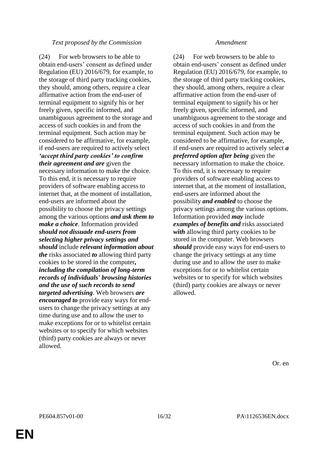# *Text proposed by the Commission Amendment*

(24) For web browsers to be able to obtain end-users' consent as defined under Regulation (EU) 2016/679, for example, to the storage of third party tracking cookies, they should, among others, require a clear affirmative action from the end-user of terminal equipment to signify his or her freely given, specific informed, and unambiguous agreement to the storage and access of such cookies in and from the terminal equipment. Such action may be considered to be affirmative, for example, if end-users are required to actively select *'accept third party cookies' to confirm their agreement and are* given the necessary information to make the choice. To this end, it is necessary to require providers of software enabling access to internet that, at the moment of installation, end-users are informed about the possibility to choose the privacy settings among the various options *and ask them to make a choice*. Information provided *should not dissuade end-users from selecting higher privacy settings and should* include *relevant information about the* risks associated *to* allowing third party cookies to be stored in the computer*, including the compilation of long-term records of individuals' browsing histories and the use of such records to send targeted advertising*. Web browsers *are encouraged to* provide easy ways for endusers to change the privacy settings at any time during use and to allow the user to make exceptions for or to whitelist certain websites or to specify for which websites (third) party cookies are always or never allowed.

(24) For web browsers to be able to obtain end-users' consent as defined under Regulation (EU) 2016/679, for example, to the storage of third party tracking cookies, they should, among others, require a clear affirmative action from the end-user of terminal equipment to signify his or her freely given, specific informed, and unambiguous agreement to the storage and access of such cookies in and from the terminal equipment. Such action may be considered to be affirmative, for example, if end-users are required to actively select *a preferred option after being* given the necessary information to make the choice. To this end, it is necessary to require providers of software enabling access to internet that, at the moment of installation, end-users are informed about the possibility *and enabled* to choose the privacy settings among the various options. Information provided *may* include *examples of benefits and* risks associated *with* allowing third party cookies to be stored in the computer. Web browsers *should* provide easy ways for end-users to change the privacy settings at any time during use and to allow the user to make exceptions for or to whitelist certain websites or to specify for which websites (third) party cookies are always or never allowed.

Or. en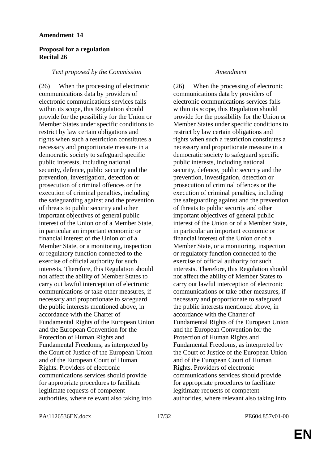# **Proposal for a regulation Recital 26**

### *Text proposed by the Commission Amendment*

(26) When the processing of electronic communications data by providers of electronic communications services falls within its scope, this Regulation should provide for the possibility for the Union or Member States under specific conditions to restrict by law certain obligations and rights when such a restriction constitutes a necessary and proportionate measure in a democratic society to safeguard specific public interests, including national security, defence, public security and the prevention, investigation, detection or prosecution of criminal offences or the execution of criminal penalties, including the safeguarding against and the prevention of threats to public security and other important objectives of general public interest of the Union or of a Member State, in particular an important economic or financial interest of the Union or of a Member State, or a monitoring, inspection or regulatory function connected to the exercise of official authority for such interests. Therefore, this Regulation should not affect the ability of Member States to carry out lawful interception of electronic communications or take other measures, if necessary and proportionate to safeguard the public interests mentioned above, in accordance with the Charter of Fundamental Rights of the European Union and the European Convention for the Protection of Human Rights and Fundamental Freedoms, as interpreted by the Court of Justice of the European Union and of the European Court of Human Rights. Providers of electronic communications services should provide for appropriate procedures to facilitate legitimate requests of competent authorities, where relevant also taking into

(26) When the processing of electronic communications data by providers of electronic communications services falls within its scope, this Regulation should provide for the possibility for the Union or Member States under specific conditions to restrict by law certain obligations and rights when such a restriction constitutes a necessary and proportionate measure in a democratic society to safeguard specific public interests, including national security, defence, public security and the prevention, investigation, detection or prosecution of criminal offences or the execution of criminal penalties, including the safeguarding against and the prevention of threats to public security and other important objectives of general public interest of the Union or of a Member State, in particular an important economic or financial interest of the Union or of a Member State, or a monitoring, inspection or regulatory function connected to the exercise of official authority for such interests. Therefore, this Regulation should not affect the ability of Member States to carry out lawful interception of electronic communications or take other measures, if necessary and proportionate to safeguard the public interests mentioned above, in accordance with the Charter of Fundamental Rights of the European Union and the European Convention for the Protection of Human Rights and Fundamental Freedoms, as interpreted by the Court of Justice of the European Union and of the European Court of Human Rights. Providers of electronic communications services should provide for appropriate procedures to facilitate legitimate requests of competent authorities, where relevant also taking into

PA\1126536EN.docx 17/32 PE604.857v01-00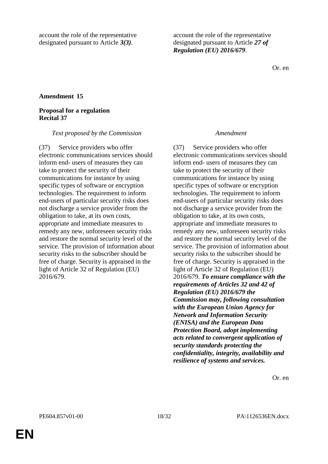account the role of the representative designated pursuant to Article *3(3)*.

account the role of the representative designated pursuant to Article *27 of Regulation (EU) 2016/679*.

Or. en

# **Amendment 15**

### **Proposal for a regulation Recital 37**

### *Text proposed by the Commission Amendment*

(37) Service providers who offer electronic communications services should inform end- users of measures they can take to protect the security of their communications for instance by using specific types of software or encryption technologies. The requirement to inform end-users of particular security risks does not discharge a service provider from the obligation to take, at its own costs, appropriate and immediate measures to remedy any new, unforeseen security risks and restore the normal security level of the service. The provision of information about security risks to the subscriber should be free of charge. Security is appraised in the light of Article 32 of Regulation (EU) 2016/679.

(37) Service providers who offer electronic communications services should inform end- users of measures they can take to protect the security of their communications for instance by using specific types of software or encryption technologies. The requirement to inform end-users of particular security risks does not discharge a service provider from the obligation to take, at its own costs, appropriate and immediate measures to remedy any new, unforeseen security risks and restore the normal security level of the service. The provision of information about security risks to the subscriber should be free of charge. Security is appraised in the light of Article 32 of Regulation (EU) 2016/679. *To ensure compliance with the requirements of Articles 32 and 42 of Regulation (EU) 2016/679 the Commission may, following consultation with the European Union Agency for Network and Information Security (ENISA) and the European Data Protection Board, adopt implementing acts related to convergent application of security standards protecting the confidentiality, integrity, availability and resilience of systems and services.*

Or. en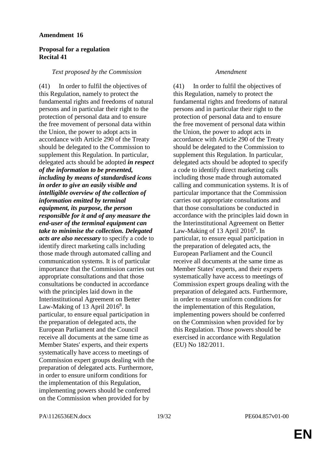# **Proposal for a regulation Recital 41**

### *Text proposed by the Commission Amendment*

(41) In order to fulfil the objectives of this Regulation, namely to protect the fundamental rights and freedoms of natural persons and in particular their right to the protection of personal data and to ensure the free movement of personal data within the Union, the power to adopt acts in accordance with Article 290 of the Treaty should be delegated to the Commission to supplement this Regulation. In particular, delegated acts should be adopted *in respect of the information to be presented, including by means of standardised icons in order to give an easily visible and intelligible overview of the collection of information emitted by terminal equipment, its purpose, the person responsible for it and of any measure the end-user of the terminal equipment can take to minimise the collection. Delegated acts are also necessary* to specify a code to identify direct marketing calls including those made through automated calling and communication systems. It is of particular importance that the Commission carries out appropriate consultations and that those consultations be conducted in accordance with the principles laid down in the Interinstitutional Agreement on Better Law-Making of 13 April 2016<sup>8</sup>. In particular, to ensure equal participation in the preparation of delegated acts, the European Parliament and the Council receive all documents at the same time as Member States' experts, and their experts systematically have access to meetings of Commission expert groups dealing with the preparation of delegated acts. Furthermore, in order to ensure uniform conditions for the implementation of this Regulation, implementing powers should be conferred on the Commission when provided for by

(41) In order to fulfil the objectives of this Regulation, namely to protect the fundamental rights and freedoms of natural persons and in particular their right to the protection of personal data and to ensure the free movement of personal data within the Union, the power to adopt acts in accordance with Article 290 of the Treaty should be delegated to the Commission to supplement this Regulation. In particular, delegated acts should be adopted to specify a code to identify direct marketing calls including those made through automated calling and communication systems. It is of particular importance that the Commission carries out appropriate consultations and that those consultations be conducted in accordance with the principles laid down in the Interinstitutional Agreement on Better Law-Making of 13 April  $2016^8$ . In particular, to ensure equal participation in the preparation of delegated acts, the European Parliament and the Council receive all documents at the same time as Member States' experts, and their experts systematically have access to meetings of Commission expert groups dealing with the preparation of delegated acts. Furthermore, in order to ensure uniform conditions for the implementation of this Regulation, implementing powers should be conferred on the Commission when provided for by this Regulation. Those powers should be exercised in accordance with Regulation (EU) No 182/2011.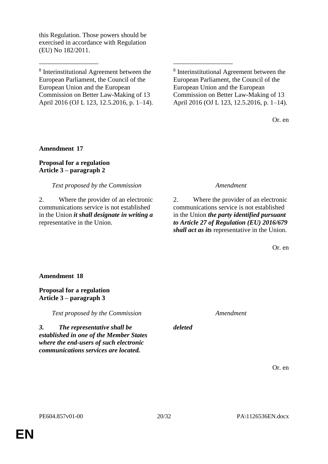this Regulation. Those powers should be exercised in accordance with Regulation (EU) No 182/2011.

8 Interinstitutional Agreement between the European Parliament, the Council of the European Union and the European Commission on Better Law-Making of 13 April 2016 (OJ L 123, 12.5.2016, p. 1–14).

\_\_\_\_\_\_\_\_\_\_\_\_\_\_\_\_\_\_ \_\_\_\_\_\_\_\_\_\_\_\_\_\_\_\_\_\_

8 Interinstitutional Agreement between the European Parliament, the Council of the European Union and the European Commission on Better Law-Making of 13 April 2016 (OJ L 123, 12.5.2016, p. 1–14).

Or. en

# **Amendment 17**

# **Proposal for a regulation Article 3 – paragraph 2**

# *Text proposed by the Commission Amendment*

2. Where the provider of an electronic communications service is not established in the Union *it shall designate in writing a* representative in the Union.

2. Where the provider of an electronic communications service is not established in the Union *the party identified pursuant to Article 27 of Regulation (EU) 2016/679 shall act as its* representative in the Union.

Or. en

## **Amendment 18**

**Proposal for a regulation Article 3 – paragraph 3**

*Text proposed by the Commission Amendment*

*3. The representative shall be established in one of the Member States where the end-users of such electronic communications services are located.*

Or. en

*deleted*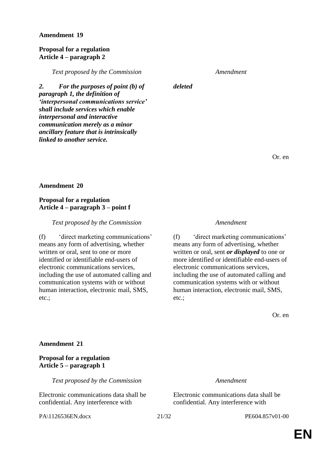### **Proposal for a regulation Article 4 – paragraph 2**

*Text proposed by the Commission Amendment*

*deleted*

*2. For the purposes of point (b) of paragraph 1, the definition of 'interpersonal communications service' shall include services which enable interpersonal and interactive communication merely as a minor ancillary feature that is intrinsically linked to another service.*

Or. en

### **Amendment 20**

# **Proposal for a regulation Article 4 – paragraph 3 – point f**

### *Text proposed by the Commission Amendment*

(f) 'direct marketing communications' means any form of advertising, whether written or oral, sent to one or more identified or identifiable end-users of electronic communications services, including the use of automated calling and communication systems with or without human interaction, electronic mail, SMS, etc.;

(f) 'direct marketing communications' means any form of advertising, whether written or oral, sent *or displayed* to one or more identified or identifiable end-users of electronic communications services, including the use of automated calling and communication systems with or without human interaction, electronic mail, SMS, etc.;

Or. en

### **Amendment 21**

# **Proposal for a regulation Article 5 – paragraph 1**

*Text proposed by the Commission Amendment*

Electronic communications data shall be confidential. Any interference with

PA\1126536EN.docx 21/32 PE604.857v01-00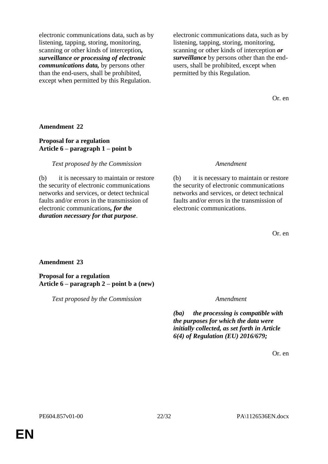electronic communications data, such as by listening, tapping, storing, monitoring, scanning or other kinds of interception*, surveillance or processing of electronic communications data,* by persons other than the end-users, shall be prohibited, except when permitted by this Regulation.

electronic communications data, such as by listening, tapping, storing, monitoring, scanning or other kinds of interception *or surveillance* by persons other than the endusers, shall be prohibited, except when permitted by this Regulation.

Or. en

**Amendment 22**

# **Proposal for a regulation Article 6 – paragraph 1 – point b**

*Text proposed by the Commission Amendment*

(b) it is necessary to maintain or restore the security of electronic communications networks and services, or detect technical faults and/or errors in the transmission of electronic communications*, for the duration necessary for that purpose*.

(b) it is necessary to maintain or restore the security of electronic communications networks and services, or detect technical faults and/or errors in the transmission of electronic communications.

Or. en

### **Amendment 23**

**Proposal for a regulation Article 6 – paragraph 2 – point b a (new)**

*Text proposed by the Commission Amendment*

*(ba) the processing is compatible with the purposes for which the data were initially collected, as set forth in Article 6(4) of Regulation (EU) 2016/679;*

Or. en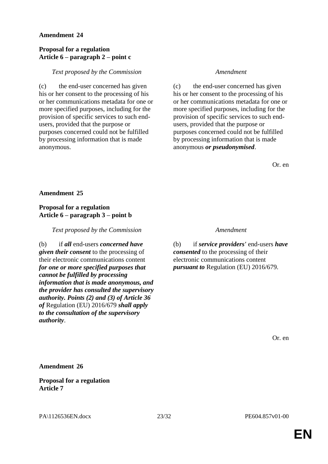# **Proposal for a regulation Article 6 – paragraph 2 – point c**

# *Text proposed by the Commission Amendment*

(c) the end-user concerned has given his or her consent to the processing of his or her communications metadata for one or more specified purposes, including for the provision of specific services to such endusers, provided that the purpose or purposes concerned could not be fulfilled by processing information that is made anonymous.

(c) the end-user concerned has given his or her consent to the processing of his or her communications metadata for one or more specified purposes, including for the provision of specific services to such endusers, provided that the purpose or purposes concerned could not be fulfilled by processing information that is made anonymous *or pseudonymised*.

Or. en

### **Amendment 25**

# **Proposal for a regulation Article 6 – paragraph 3 – point b**

*Text proposed by the Commission Amendment*

(b) if *all* end-users *concerned have given their consent* to the processing of their electronic communications content *for one or more specified purposes that cannot be fulfilled by processing information that is made anonymous, and the provider has consulted the supervisory authority. Points (2) and (3) of Article 36 of* Regulation (EU) 2016/679 *shall apply to the consultation of the supervisory authority*.

(b) if *service providers'* end-users *have consented* to the processing of their electronic communications content *pursuant to* Regulation (EU) 2016/679.

Or. en

**Amendment 26**

**Proposal for a regulation Article 7**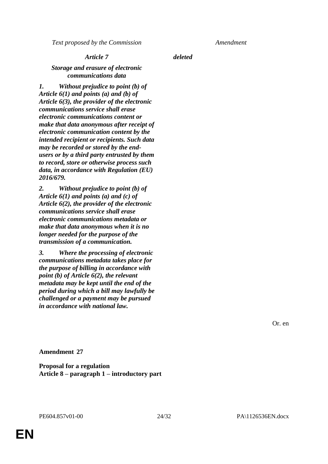*Text proposed by the Commission Amendment*

# *Article 7 deleted*

# *Storage and erasure of electronic communications data*

*1. Without prejudice to point (b) of Article 6(1) and points (a) and (b) of Article 6(3), the provider of the electronic communications service shall erase electronic communications content or make that data anonymous after receipt of electronic communication content by the intended recipient or recipients. Such data may be recorded or stored by the endusers or by a third party entrusted by them to record, store or otherwise process such data, in accordance with Regulation (EU) 2016/679.*

*2. Without prejudice to point (b) of Article 6(1) and points (a) and (c) of Article 6(2), the provider of the electronic communications service shall erase electronic communications metadata or make that data anonymous when it is no longer needed for the purpose of the transmission of a communication.*

*3. Where the processing of electronic communications metadata takes place for the purpose of billing in accordance with point (b) of Article 6(2), the relevant metadata may be kept until the end of the period during which a bill may lawfully be challenged or a payment may be pursued in accordance with national law.*

Or. en

**Amendment 27**

**Proposal for a regulation Article 8 – paragraph 1 – introductory part**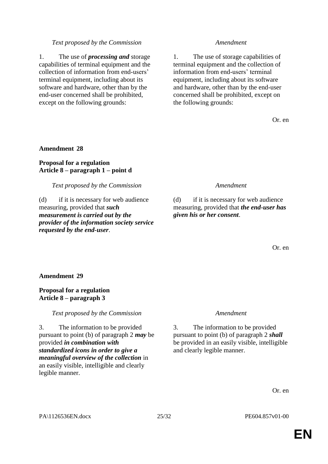# *Text proposed by the Commission Amendment*

1. The use of *processing and* storage capabilities of terminal equipment and the collection of information from end-users' terminal equipment, including about its software and hardware, other than by the end-user concerned shall be prohibited, except on the following grounds:

1. The use of storage capabilities of terminal equipment and the collection of information from end-users' terminal equipment, including about its software and hardware, other than by the end-user concerned shall be prohibited, except on the following grounds:

Or. en

### **Amendment 28**

# **Proposal for a regulation Article 8 – paragraph 1 – point d**

### *Text proposed by the Commission Amendment*

(d) if it is necessary for web audience measuring, provided that *such measurement is carried out by the provider of the information society service requested by the end-user*.

(d) if it is necessary for web audience measuring, provided that *the end-user has given his or her consent*.

Or. en

## **Amendment 29**

### **Proposal for a regulation Article 8 – paragraph 3**

*Text proposed by the Commission Amendment*

3. The information to be provided pursuant to point (b) of paragraph 2 *may* be provided *in combination with standardized icons in order to give a meaningful overview of the collection* in an easily visible, intelligible and clearly legible manner.

3. The information to be provided pursuant to point (b) of paragraph 2 *shall* be provided in an easily visible, intelligible and clearly legible manner.

Or. en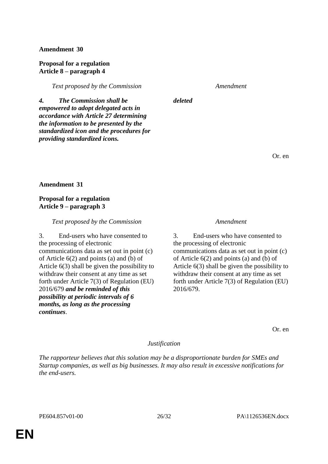# **Proposal for a regulation Article 8 – paragraph 4**

*Text proposed by the Commission Amendment*

*deleted*

*4. The Commission shall be empowered to adopt delegated acts in accordance with Article 27 determining the information to be presented by the standardized icon and the procedures for providing standardized icons.*

Or. en

**Amendment 31**

# **Proposal for a regulation Article 9 – paragraph 3**

# *Text proposed by the Commission Amendment*

3. End-users who have consented to the processing of electronic communications data as set out in point (c) of Article 6(2) and points (a) and (b) of Article 6(3) shall be given the possibility to withdraw their consent at any time as set forth under Article 7(3) of Regulation (EU) 2016/679 *and be reminded of this possibility at periodic intervals of 6 months, as long as the processing continues*.

3. End-users who have consented to the processing of electronic communications data as set out in point (c) of Article 6(2) and points (a) and (b) of Article 6(3) shall be given the possibility to withdraw their consent at any time as set forth under Article 7(3) of Regulation (EU) 2016/679.

Or. en

# *Justification*

*The rapporteur believes that this solution may be a disproportionate burden for SMEs and Startup companies, as well as big businesses. It may also result in excessive notifications for the end-users.*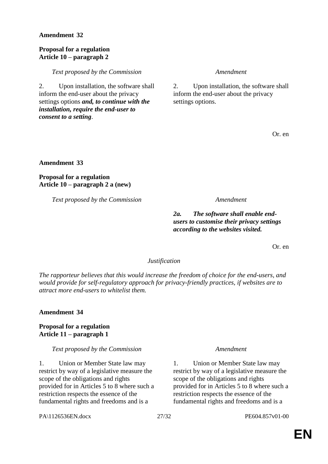# **Proposal for a regulation Article 10 – paragraph 2**

*Text proposed by the Commission Amendment*

2. Upon installation, the software shall inform the end-user about the privacy settings options *and, to continue with the installation, require the end-user to consent to a setting*.

2. Upon installation, the software shall inform the end-user about the privacy settings options.

Or. en

**Amendment 33**

**Proposal for a regulation Article 10 – paragraph 2 a (new)**

*Text proposed by the Commission Amendment*

*2a. The software shall enable endusers to customise their privacy settings according to the websites visited.*

Or. en

# *Justification*

*The rapporteur believes that this would increase the freedom of choice for the end-users, and would provide for self-regulatory approach for privacy-friendly practices, if websites are to attract more end-users to whitelist them.*

# **Amendment 34**

# **Proposal for a regulation Article 11 – paragraph 1**

# *Text proposed by the Commission Amendment*

1. Union or Member State law may restrict by way of a legislative measure the scope of the obligations and rights provided for in Articles 5 to 8 where such a restriction respects the essence of the fundamental rights and freedoms and is a

1. Union or Member State law may restrict by way of a legislative measure the scope of the obligations and rights provided for in Articles 5 to 8 where such a restriction respects the essence of the fundamental rights and freedoms and is a

PA\1126536EN.docx 27/32 PE604.857v01-00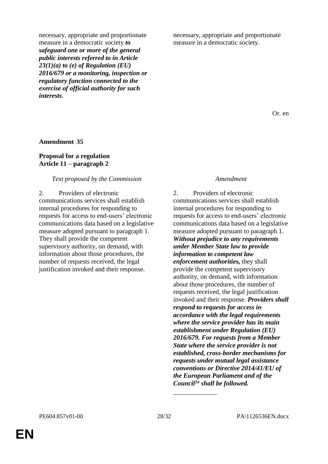necessary, appropriate and proportionate measure in a democratic society *to safeguard one or more of the general public interests referred to in Article 23(1)(a) to (e) of Regulation (EU) 2016/679 or a monitoring, inspection or regulatory function connected to the exercise of official authority for such interests*.

necessary, appropriate and proportionate measure in a democratic society.

Or. en

### **Amendment 35**

# **Proposal for a regulation Article 11 – paragraph 2**

### *Text proposed by the Commission Amendment*

2. Providers of electronic communications services shall establish internal procedures for responding to requests for access to end-users' electronic communications data based on a legislative measure adopted pursuant to paragraph 1. They shall provide the competent supervisory authority, on demand, with information about those procedures, the number of requests received, the legal justification invoked and their response.

2. Providers of electronic communications services shall establish internal procedures for responding to requests for access to end-users' electronic communications data based on a legislative measure adopted pursuant to paragraph 1. *Without prejudice to any requirements under Member State law to provide information to competent law enforcement authorities,* they shall provide the competent supervisory authority, on demand, with information about those procedures, the number of requests received, the legal justification invoked and their response. *Providers shall respond to requests for access in accordance with the legal requirements where the service provider has its main establishment under Regulation (EU) 2016/679. For requests from a Member State where the service provider is not established, cross-border mechanisms for requests under mutual legal assistance conventions or Directive 2014/41/EU of the European Parliament and of the Council1a shall be followed.*

*\_\_\_\_\_\_\_\_\_\_\_\_\_\_\_\_\_\_\_\_*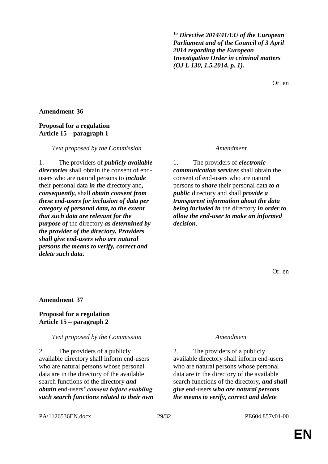*1a Directive 2014/41/EU of the European Parliament and of the Council of 3 April 2014 regarding the European Investigation Order in criminal matters (OJ L 130, 1.5.2014, p. 1).*

Or. en

# **Amendment 36**

# **Proposal for a regulation Article 15 – paragraph 1**

### *Text proposed by the Commission Amendment*

1. The providers of *publicly available directories* shall obtain the consent of endusers who are natural persons to *include* their personal data *in the* directory and*, consequently,* shall *obtain consent from these end-users for inclusion of data per category of personal data, to the extent that such data are relevant for the purpose of* the directory *as determined by the provider of the directory. Providers shall give end-users who are natural persons the means to verify, correct and delete such data*.

1. The providers of *electronic communication services* shall obtain the consent of end-users who are natural persons to *share* their personal data *to a public* directory and shall *provide a transparent information about the data being included in* the directory *in order to allow the end-user to make an informed decision*.

Or. en

### **Amendment 37**

### **Proposal for a regulation Article 15 – paragraph 2**

### *Text proposed by the Commission Amendment*

2. The providers of a publicly available directory shall inform end-users who are natural persons whose personal data are in the directory of the available search functions of the directory *and obtain* end-users*' consent before enabling such search functions related to their own*

2. The providers of a publicly available directory shall inform end-users who are natural persons whose personal data are in the directory of the available search functions of the directory*, and shall give* end-users *who are natural persons the means to verify, correct and delete* 

PA\1126536EN.docx 29/32 PE604.857v01-00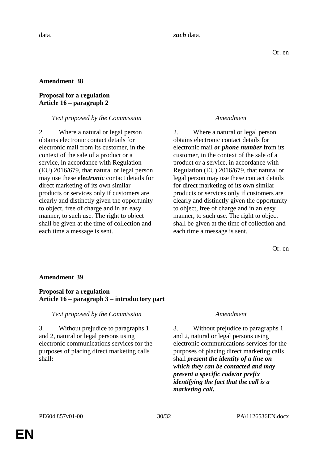# **Proposal for a regulation Article 16 – paragraph 2**

# *Text proposed by the Commission Amendment*

2. Where a natural or legal person obtains electronic contact details for electronic mail from its customer, in the context of the sale of a product or a service, in accordance with Regulation (EU) 2016/679, that natural or legal person may use these *electronic* contact details for direct marketing of its own similar products or services only if customers are clearly and distinctly given the opportunity to object, free of charge and in an easy manner, to such use. The right to object shall be given at the time of collection and each time a message is sent.

2. Where a natural or legal person obtains electronic contact details for electronic mail *or phone number* from its customer, in the context of the sale of a product or a service, in accordance with Regulation (EU) 2016/679, that natural or legal person may use these contact details for direct marketing of its own similar products or services only if customers are clearly and distinctly given the opportunity to object, free of charge and in an easy manner, to such use. The right to object shall be given at the time of collection and each time a message is sent.

Or. en

# **Amendment 39**

# **Proposal for a regulation Article 16 – paragraph 3 – introductory part**

*Text proposed by the Commission Amendment*

3. Without prejudice to paragraphs 1 and 2, natural or legal persons using electronic communications services for the purposes of placing direct marketing calls shall*:*

3. Without prejudice to paragraphs 1 and 2, natural or legal persons using electronic communications services for the purposes of placing direct marketing calls shall *present the identity of a line on which they can be contacted and may present a specific code/or prefix identifying the fact that the call is a marketing call.*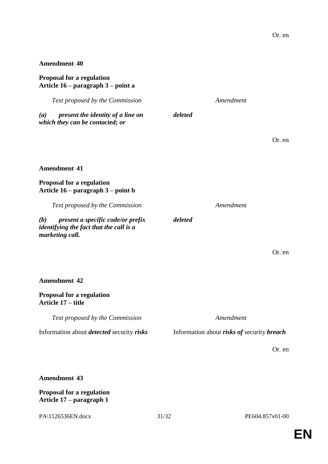# **Proposal for a regulation Article 16 – paragraph 3 – point a**

*Text proposed by the Commission Amendment (a) present the identity of a line on which they can be contacted; or deleted* Or. en **Amendment 41 Proposal for a regulation Article 16 – paragraph 3 – point b** *Text proposed by the Commission Amendment (b) present a specific code/or prefix identifying the fact that the call is a marketing call. deleted* Or. en

# **Proposal for a regulation Article 17 – title** *Text proposed by the Commission Amendment* Information about *detected* security *risks* Information about *risks of* security *breach*

Or. en

# **Amendment 43**

**Amendment 42**

# **Proposal for a regulation Article 17 – paragraph 1**